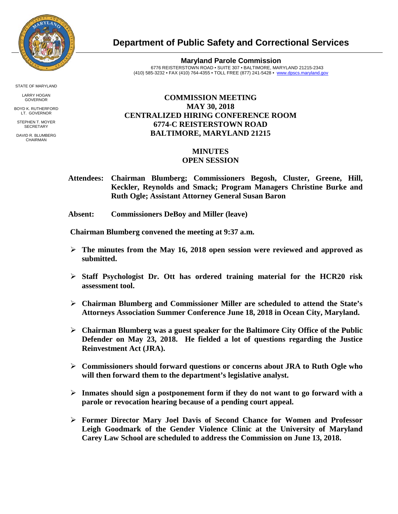

**Department of Public Safety and Correctional Services**

**Maryland Parole Commission** 6776 REISTERSTOWN ROAD • SUITE 307 • BALTIMORE, MARYLAND 21215-2343 (410) 585-3232 • FAX (410) 764-4355 • TOLL FREE (877) 241-5428 • [www.dpscs.maryland.gov](http://www.dpscs.maryland.gov/) 

## **COMMISSION MEETING MAY 30, 2018 CENTRALIZED HIRING CONFERENCE ROOM 6774-C REISTERSTOWN ROAD BALTIMORE, MARYLAND 21215**

## **MINUTES**

## **OPEN SESSION**

 **Attendees: Chairman Blumberg; Commissioners Begosh, Cluster, Greene, Hill, Keckler, Reynolds and Smack; Program Managers Christine Burke and Ruth Ogle; Assistant Attorney General Susan Baron**

 **Absent: Commissioners DeBoy and Miller (leave)**

 **Chairman Blumberg convened the meeting at 9:37 a.m.**

- **The minutes from the May 16, 2018 open session were reviewed and approved as submitted.**
- **Staff Psychologist Dr. Ott has ordered training material for the HCR20 risk assessment tool.**
- **Chairman Blumberg and Commissioner Miller are scheduled to attend the State's Attorneys Association Summer Conference June 18, 2018 in Ocean City, Maryland.**
- **Chairman Blumberg was a guest speaker for the Baltimore City Office of the Public Defender on May 23, 2018. He fielded a lot of questions regarding the Justice Reinvestment Act (JRA).**
- **Commissioners should forward questions or concerns about JRA to Ruth Ogle who will then forward them to the department's legislative analyst.**
- **Inmates should sign a postponement form if they do not want to go forward with a parole or revocation hearing because of a pending court appeal.**
- **Former Director Mary Joel Davis of Second Chance for Women and Professor Leigh Goodmark of the Gender Violence Clinic at the University of Maryland Carey Law School are scheduled to address the Commission on June 13, 2018.**

STATE OF MARYLAND

LARRY HOGAN GOVERNOR BOYD K. RUTHERFORD

LT. GOVERNOR STEPHEN T. MOYER **SECRETARY** 

DAVID R. BLUMBERG CHAIRMAN